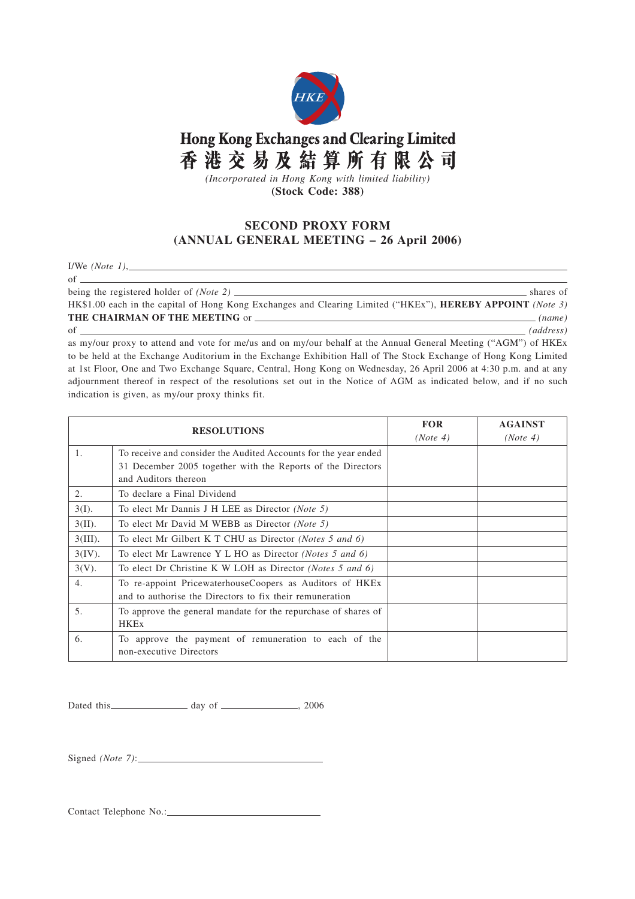

## Hong Kong Exchanges and Clearing Limited 香港交易及結算所有限公司

*(Incorporated in Hong Kong with limited liability)* **(Stock Code: 388)**

## **SECOND PROXY FORM (ANNUAL GENERAL MEETING – 26 April 2006)**

I/We *(Note 1)*,

 $of$  being the registered holder of *(Note 2)* shares of

HK\$1.00 each in the capital of Hong Kong Exchanges and Clearing Limited ("HKEx"), **HEREBY APPOINT** *(Note 3)* **THE CHAIRMAN OF THE MEETING** or *(name)*

## of *(address)*

as my/our proxy to attend and vote for me/us and on my/our behalf at the Annual General Meeting ("AGM") of HKEx to be held at the Exchange Auditorium in the Exchange Exhibition Hall of The Stock Exchange of Hong Kong Limited at 1st Floor, One and Two Exchange Square, Central, Hong Kong on Wednesday, 26 April 2006 at 4:30 p.m. and at any adjournment thereof in respect of the resolutions set out in the Notice of AGM as indicated below, and if no such indication is given, as my/our proxy thinks fit.

| <b>RESOLUTIONS</b> |                                                                                                                      | <b>FOR</b><br>(Note 4) | <b>AGAINST</b><br>(Note 4) |
|--------------------|----------------------------------------------------------------------------------------------------------------------|------------------------|----------------------------|
| $\mathbf{1}$ .     | To receive and consider the Audited Accounts for the year ended                                                      |                        |                            |
|                    | 31 December 2005 together with the Reports of the Directors<br>and Auditors thereon                                  |                        |                            |
| 2.                 | To declare a Final Dividend                                                                                          |                        |                            |
| $3(I)$ .           | To elect Mr Dannis J H LEE as Director (Note 5)                                                                      |                        |                            |
| $3(II)$ .          | To elect Mr David M WEBB as Director (Note 5)                                                                        |                        |                            |
| $3(III)$ .         | To elect Mr Gilbert K T CHU as Director (Notes 5 and 6)                                                              |                        |                            |
| $3(IV)$ .          | To elect Mr Lawrence Y L HO as Director (Notes 5 and 6)                                                              |                        |                            |
| $3(V)$ .           | To elect Dr Christine K W LOH as Director (Notes 5 and 6)                                                            |                        |                            |
| 4.                 | To re-appoint PricewaterhouseCoopers as Auditors of HKEx<br>and to authorise the Directors to fix their remuneration |                        |                            |
| 5.                 | To approve the general mandate for the repurchase of shares of<br><b>HKEx</b>                                        |                        |                            |
| 6.                 | To approve the payment of remuneration to each of the<br>non-executive Directors                                     |                        |                            |

Dated this day of , 2006

Signed *(Note 7)*:

Contact Telephone No.: